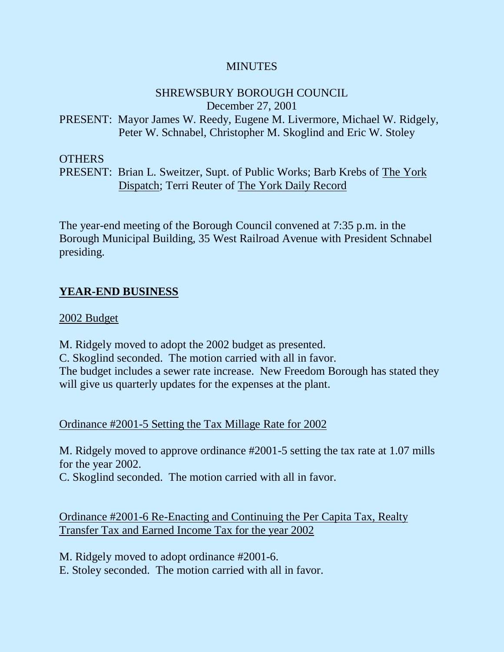## **MINUTES**

# SHREWSBURY BOROUGH COUNCIL

December 27, 2001

# PRESENT: Mayor James W. Reedy, Eugene M. Livermore, Michael W. Ridgely, Peter W. Schnabel, Christopher M. Skoglind and Eric W. Stoley

### OTHERS

# PRESENT: Brian L. Sweitzer, Supt. of Public Works; Barb Krebs of The York Dispatch; Terri Reuter of The York Daily Record

The year-end meeting of the Borough Council convened at 7:35 p.m. in the Borough Municipal Building, 35 West Railroad Avenue with President Schnabel presiding.

# **YEAR-END BUSINESS**

# 2002 Budget

M. Ridgely moved to adopt the 2002 budget as presented. C. Skoglind seconded. The motion carried with all in favor. The budget includes a sewer rate increase. New Freedom Borough has stated they will give us quarterly updates for the expenses at the plant.

# Ordinance #2001-5 Setting the Tax Millage Rate for 2002

M. Ridgely moved to approve ordinance #2001-5 setting the tax rate at 1.07 mills for the year 2002.

C. Skoglind seconded. The motion carried with all in favor.

Ordinance #2001-6 Re-Enacting and Continuing the Per Capita Tax, Realty Transfer Tax and Earned Income Tax for the year 2002

M. Ridgely moved to adopt ordinance #2001-6.

E. Stoley seconded. The motion carried with all in favor.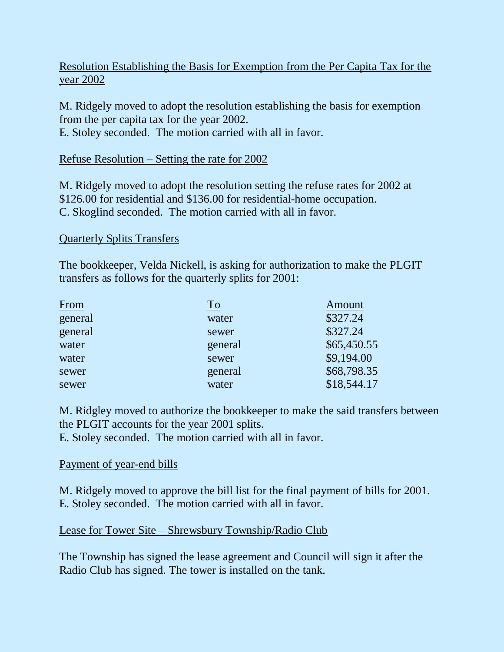# Resolution Establishing the Basis for Exemption from the Per Capita Tax for the year 2002

M. Ridgely moved to adopt the resolution establishing the basis for exemption from the per capita tax for the year 2002. E. Stoley seconded. The motion carried with all in favor.

#### Refuse Resolution – Setting the rate for 2002

M. Ridgely moved to adopt the resolution setting the refuse rates for 2002 at \$126.00 for residential and \$136.00 for residential-home occupation. C. Skoglind seconded. The motion carried with all in favor.

#### Quarterly Splits Transfers

The bookkeeper, Velda Nickell, is asking for authorization to make the PLGIT transfers as follows for the quarterly splits for 2001:

| From    | $\operatorname{To}$ | Amount      |
|---------|---------------------|-------------|
| general | water               | \$327.24    |
| general | sewer               | \$327.24    |
| water   | general             | \$65,450.55 |
| water   | sewer               | \$9,194.00  |
| sewer   | general             | \$68,798.35 |
| sewer   | water               | \$18,544.17 |

M. Ridgley moved to authorize the bookkeeper to make the said transfers between the PLGIT accounts for the year 2001 splits.

E. Stoley seconded. The motion carried with all in favor.

### Payment of year-end bills

M. Ridgely moved to approve the bill list for the final payment of bills for 2001. E. Stoley seconded. The motion carried with all in favor.

### Lease for Tower Site – Shrewsbury Township/Radio Club

The Township has signed the lease agreement and Council will sign it after the Radio Club has signed. The tower is installed on the tank.